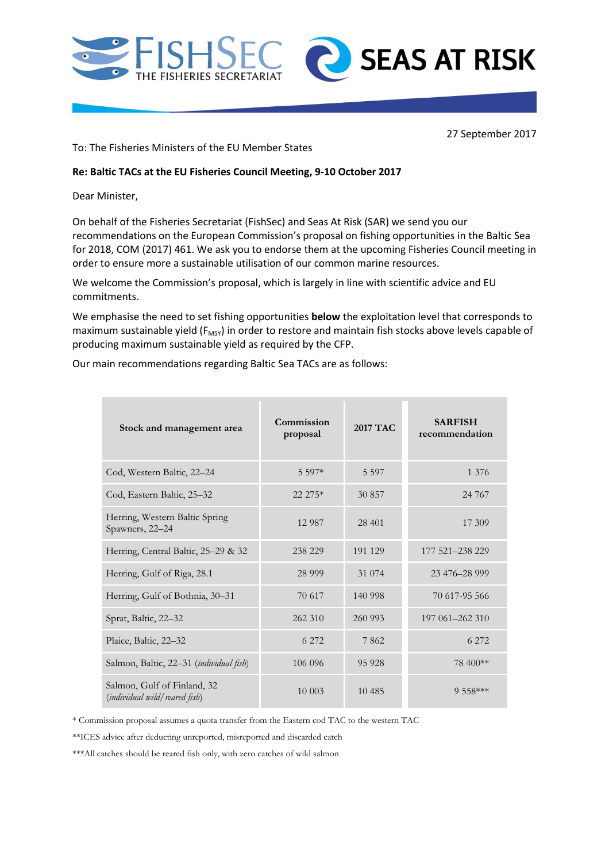



27 September 2017

To: The Fisheries Ministers of the EU Member States

## **Re: Baltic TACs at the EU Fisheries Council Meeting, 9-10 October 2017**

Dear Minister,

On behalf of the Fisheries Secretariat (FishSec) and Seas At Risk (SAR) we send you our recommendations on the European Commission's proposal on fishing opportunities in the Baltic Sea for 2018, COM (2017) 461. We ask you to endorse them at the upcoming Fisheries Council meeting in order to ensure more a sustainable utilisation of our common marine resources.

We welcome the Commission's proposal, which is largely in line with scientific advice and EU commitments.

We emphasise the need to set fishing opportunities **below** the exploitation level that corresponds to maximum sustainable yield ( $F_{MSV}$ ) in order to restore and maintain fish stocks above levels capable of producing maximum sustainable yield as required by the CFP.

Our main recommendations regarding Baltic Sea TACs are as follows:

| Stock and management area                                    | Commission<br>proposal | <b>2017 TAC</b> | <b>SARFISH</b><br>recommendation |
|--------------------------------------------------------------|------------------------|-----------------|----------------------------------|
| Cod, Western Baltic, 22-24                                   | $5.597*$               | 5 5 9 7         | 1 3 7 6                          |
| Cod, Eastern Baltic, 25–32                                   | 22 275*                | 30 857          | 24 7 6 7                         |
| Herring, Western Baltic Spring<br>Spawners, 22-24            | 12 9 8 7               | 28 401          | 17.309                           |
| Herring, Central Baltic, 25–29 & 32                          | 238 229                | 191 129         | 177 521 - 238 229                |
| Herring, Gulf of Riga, 28.1                                  | 28 9 9 9               | 31 0 74         | 23 476-28 999                    |
| Herring, Gulf of Bothnia, 30-31                              | 70.617                 | 140 998         | 70 617-95 566                    |
| Sprat, Baltic, 22–32                                         | 262 310                | 260 993         | 197 061-262 310                  |
| Plaice, Baltic, 22–32                                        | 6 272                  | 7862            | 6 272                            |
| Salmon, Baltic, 22–31 ( <i>individual fish</i> )             | 106 096                | 95 928          | 78 400**                         |
| Salmon, Gulf of Finland, 32<br>(individual wild/reared fish) | 10 003                 | 10 4 8 5        | $9.558***$                       |

\* Commission proposal assumes a quota transfer from the Eastern cod TAC to the western TAC

\*\*ICES advice after deducting unreported, misreported and discarded catch

\*\*\*All catches should be reared fish only, with zero catches of wild salmon